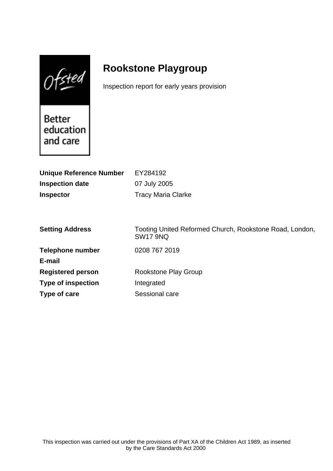$0$ fsted

# **Rookstone Playgroup**

Inspection report for early years provision

Better education and care

| EY284192<br>07 July 2005<br><b>Tracy Maria Clarke</b>                      |
|----------------------------------------------------------------------------|
|                                                                            |
| Tooting United Reformed Church, Rookstone Road, London,<br><b>SW17 9NQ</b> |
| 0208 767 2019                                                              |
|                                                                            |
| Rookstone Play Group                                                       |
| Integrated                                                                 |
| Sessional care                                                             |
|                                                                            |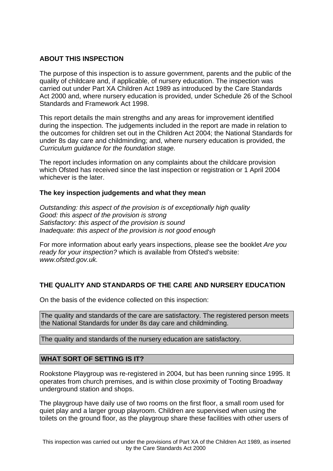# **ABOUT THIS INSPECTION**

The purpose of this inspection is to assure government, parents and the public of the quality of childcare and, if applicable, of nursery education. The inspection was carried out under Part XA Children Act 1989 as introduced by the Care Standards Act 2000 and, where nursery education is provided, under Schedule 26 of the School Standards and Framework Act 1998.

This report details the main strengths and any areas for improvement identified during the inspection. The judgements included in the report are made in relation to the outcomes for children set out in the Children Act 2004; the National Standards for under 8s day care and childminding; and, where nursery education is provided, the Curriculum guidance for the foundation stage.

The report includes information on any complaints about the childcare provision which Ofsted has received since the last inspection or registration or 1 April 2004 whichever is the later.

## **The key inspection judgements and what they mean**

Outstanding: this aspect of the provision is of exceptionally high quality Good: this aspect of the provision is strong Satisfactory: this aspect of the provision is sound Inadequate: this aspect of the provision is not good enough

For more information about early years inspections, please see the booklet Are you ready for your inspection? which is available from Ofsted's website: www.ofsted.gov.uk.

# **THE QUALITY AND STANDARDS OF THE CARE AND NURSERY EDUCATION**

On the basis of the evidence collected on this inspection:

The quality and standards of the care are satisfactory. The registered person meets the National Standards for under 8s day care and childminding.

The quality and standards of the nursery education are satisfactory.

## **WHAT SORT OF SETTING IS IT?**

Rookstone Playgroup was re-registered in 2004, but has been running since 1995. It operates from church premises, and is within close proximity of Tooting Broadway underground station and shops.

The playgroup have daily use of two rooms on the first floor, a small room used for quiet play and a larger group playroom. Children are supervised when using the toilets on the ground floor, as the playgroup share these facilities with other users of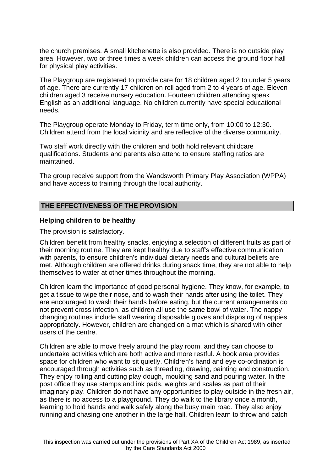the church premises. A small kitchenette is also provided. There is no outside play area. However, two or three times a week children can access the ground floor hall for physical play activities.

The Playgroup are registered to provide care for 18 children aged 2 to under 5 years of age. There are currently 17 children on roll aged from 2 to 4 years of age. Eleven children aged 3 receive nursery education. Fourteen children attending speak English as an additional language. No children currently have special educational needs.

The Playgroup operate Monday to Friday, term time only, from 10:00 to 12:30. Children attend from the local vicinity and are reflective of the diverse community.

Two staff work directly with the children and both hold relevant childcare qualifications. Students and parents also attend to ensure staffing ratios are maintained.

The group receive support from the Wandsworth Primary Play Association (WPPA) and have access to training through the local authority.

#### **THE EFFECTIVENESS OF THE PROVISION**

#### **Helping children to be healthy**

The provision is satisfactory.

Children benefit from healthy snacks, enjoying a selection of different fruits as part of their morning routine. They are kept healthy due to staff's effective communication with parents, to ensure children's individual dietary needs and cultural beliefs are met. Although children are offered drinks during snack time, they are not able to help themselves to water at other times throughout the morning.

Children learn the importance of good personal hygiene. They know, for example, to get a tissue to wipe their nose, and to wash their hands after using the toilet. They are encouraged to wash their hands before eating, but the current arrangements do not prevent cross infection, as children all use the same bowl of water. The nappy changing routines include staff wearing disposable gloves and disposing of nappies appropriately. However, children are changed on a mat which is shared with other users of the centre.

Children are able to move freely around the play room, and they can choose to undertake activities which are both active and more restful. A book area provides space for children who want to sit quietly. Children's hand and eye co-ordination is encouraged through activities such as threading, drawing, painting and construction. They enjoy rolling and cutting play dough, moulding sand and pouring water. In the post office they use stamps and ink pads, weights and scales as part of their imaginary play. Children do not have any opportunities to play outside in the fresh air, as there is no access to a playground. They do walk to the library once a month, learning to hold hands and walk safely along the busy main road. They also enjoy running and chasing one another in the large hall. Children learn to throw and catch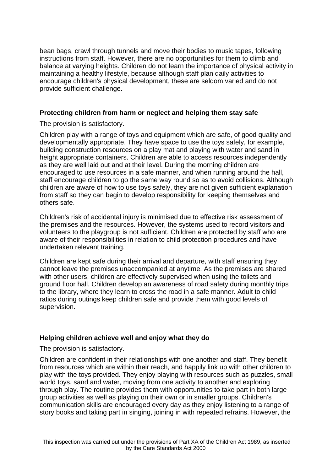bean bags, crawl through tunnels and move their bodies to music tapes, following instructions from staff. However, there are no opportunities for them to climb and balance at varying heights. Children do not learn the importance of physical activity in maintaining a healthy lifestyle, because although staff plan daily activities to encourage children's physical development, these are seldom varied and do not provide sufficient challenge.

## **Protecting children from harm or neglect and helping them stay safe**

The provision is satisfactory.

Children play with a range of toys and equipment which are safe, of good quality and developmentally appropriate. They have space to use the toys safely, for example, building construction resources on a play mat and playing with water and sand in height appropriate containers. Children are able to access resources independently as they are well laid out and at their level. During the morning children are encouraged to use resources in a safe manner, and when running around the hall, staff encourage children to go the same way round so as to avoid collisions. Although children are aware of how to use toys safely, they are not given sufficient explanation from staff so they can begin to develop responsibility for keeping themselves and others safe.

Children's risk of accidental injury is minimised due to effective risk assessment of the premises and the resources. However, the systems used to record visitors and volunteers to the playgroup is not sufficient. Children are protected by staff who are aware of their responsibilities in relation to child protection procedures and have undertaken relevant training.

Children are kept safe during their arrival and departure, with staff ensuring they cannot leave the premises unaccompanied at anytime. As the premises are shared with other users, children are effectively supervised when using the toilets and ground floor hall. Children develop an awareness of road safety during monthly trips to the library, where they learn to cross the road in a safe manner. Adult to child ratios during outings keep children safe and provide them with good levels of supervision.

# **Helping children achieve well and enjoy what they do**

The provision is satisfactory.

Children are confident in their relationships with one another and staff. They benefit from resources which are within their reach, and happily link up with other children to play with the toys provided. They enjoy playing with resources such as puzzles, small world toys, sand and water, moving from one activity to another and exploring through play. The routine provides them with opportunities to take part in both large group activities as well as playing on their own or in smaller groups. Children's communication skills are encouraged every day as they enjoy listening to a range of story books and taking part in singing, joining in with repeated refrains. However, the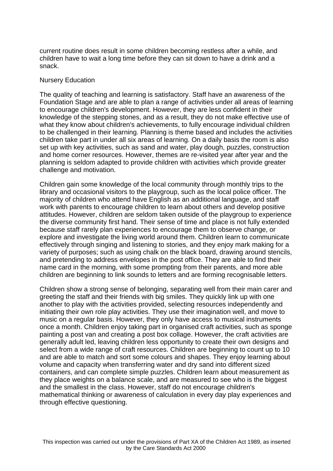current routine does result in some children becoming restless after a while, and children have to wait a long time before they can sit down to have a drink and a snack.

#### Nursery Education

The quality of teaching and learning is satisfactory. Staff have an awareness of the Foundation Stage and are able to plan a range of activities under all areas of learning to encourage children's development. However, they are less confident in their knowledge of the stepping stones, and as a result, they do not make effective use of what they know about children's achievements, to fully encourage individual children to be challenged in their learning. Planning is theme based and includes the activities children take part in under all six areas of learning. On a daily basis the room is also set up with key activities, such as sand and water, play dough, puzzles, construction and home corner resources. However, themes are re-visited year after year and the planning is seldom adapted to provide children with activities which provide greater challenge and motivation.

Children gain some knowledge of the local community through monthly trips to the library and occasional visitors to the playgroup, such as the local police officer. The majority of children who attend have English as an additional language, and staff work with parents to encourage children to learn about others and develop positive attitudes. However, children are seldom taken outside of the playgroup to experience the diverse community first hand. Their sense of time and place is not fully extended because staff rarely plan experiences to encourage them to observe change, or explore and investigate the living world around them. Children learn to communicate effectively through singing and listening to stories, and they enjoy mark making for a variety of purposes; such as using chalk on the black board, drawing around stencils, and pretending to address envelopes in the post office. They are able to find their name card in the morning, with some prompting from their parents, and more able children are beginning to link sounds to letters and are forming recognisable letters.

Children show a strong sense of belonging, separating well from their main carer and greeting the staff and their friends with big smiles. They quickly link up with one another to play with the activities provided, selecting resources independently and initiating their own role play activities. They use their imagination well, and move to music on a regular basis. However, they only have access to musical instruments once a month. Children enjoy taking part in organised craft activities, such as sponge painting a post van and creating a post box collage. However, the craft activities are generally adult led, leaving children less opportunity to create their own designs and select from a wide range of craft resources. Children are beginning to count up to 10 and are able to match and sort some colours and shapes. They enjoy learning about volume and capacity when transferring water and dry sand into different sized containers, and can complete simple puzzles. Children learn about measurement as they place weights on a balance scale, and are measured to see who is the biggest and the smallest in the class. However, staff do not encourage children's mathematical thinking or awareness of calculation in every day play experiences and through effective questioning.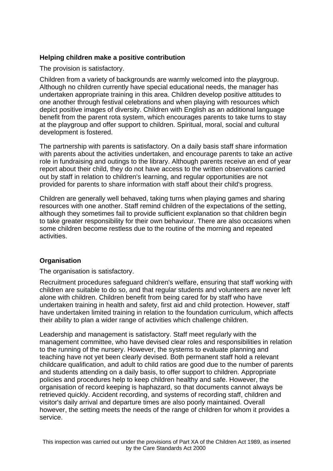# **Helping children make a positive contribution**

The provision is satisfactory.

Children from a variety of backgrounds are warmly welcomed into the playgroup. Although no children currently have special educational needs, the manager has undertaken appropriate training in this area. Children develop positive attitudes to one another through festival celebrations and when playing with resources which depict positive images of diversity. Children with English as an additional language benefit from the parent rota system, which encourages parents to take turns to stay at the playgroup and offer support to children. Spiritual, moral, social and cultural development is fostered.

The partnership with parents is satisfactory. On a daily basis staff share information with parents about the activities undertaken, and encourage parents to take an active role in fundraising and outings to the library. Although parents receive an end of year report about their child, they do not have access to the written observations carried out by staff in relation to children's learning, and regular opportunities are not provided for parents to share information with staff about their child's progress.

Children are generally well behaved, taking turns when playing games and sharing resources with one another. Staff remind children of the expectations of the setting, although they sometimes fail to provide sufficient explanation so that children begin to take greater responsibility for their own behaviour. There are also occasions when some children become restless due to the routine of the morning and repeated activities.

# **Organisation**

The organisation is satisfactory.

Recruitment procedures safeguard children's welfare, ensuring that staff working with children are suitable to do so, and that regular students and volunteers are never left alone with children. Children benefit from being cared for by staff who have undertaken training in health and safety, first aid and child protection. However, staff have undertaken limited training in relation to the foundation curriculum, which affects their ability to plan a wider range of activities which challenge children.

Leadership and management is satisfactory. Staff meet regularly with the management committee, who have devised clear roles and responsibilities in relation to the running of the nursery. However, the systems to evaluate planning and teaching have not yet been clearly devised. Both permanent staff hold a relevant childcare qualification, and adult to child ratios are good due to the number of parents and students attending on a daily basis, to offer support to children. Appropriate policies and procedures help to keep children healthy and safe. However, the organisation of record keeping is haphazard, so that documents cannot always be retrieved quickly. Accident recording, and systems of recording staff, children and visitor's daily arrival and departure times are also poorly maintained. Overall however, the setting meets the needs of the range of children for whom it provides a service.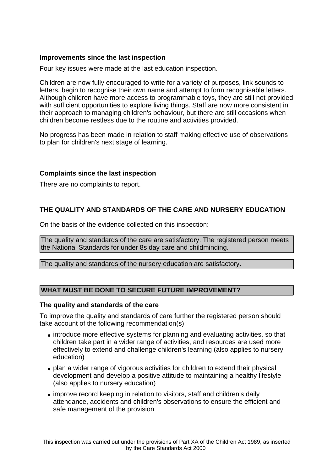# **Improvements since the last inspection**

Four key issues were made at the last education inspection.

Children are now fully encouraged to write for a variety of purposes, link sounds to letters, begin to recognise their own name and attempt to form recognisable letters. Although children have more access to programmable toys, they are still not provided with sufficient opportunities to explore living things. Staff are now more consistent in their approach to managing children's behaviour, but there are still occasions when children become restless due to the routine and activities provided.

No progress has been made in relation to staff making effective use of observations to plan for children's next stage of learning.

# **Complaints since the last inspection**

There are no complaints to report.

# **THE QUALITY AND STANDARDS OF THE CARE AND NURSERY EDUCATION**

On the basis of the evidence collected on this inspection:

The quality and standards of the care are satisfactory. The registered person meets the National Standards for under 8s day care and childminding.

The quality and standards of the nursery education are satisfactory.

## **WHAT MUST BE DONE TO SECURE FUTURE IMPROVEMENT?**

#### **The quality and standards of the care**

To improve the quality and standards of care further the registered person should take account of the following recommendation(s):

- introduce more effective systems for planning and evaluating activities, so that children take part in a wider range of activities, and resources are used more effectively to extend and challenge children's learning (also applies to nursery education)
- plan a wider range of vigorous activities for children to extend their physical development and develop a positive attitude to maintaining a healthy lifestyle (also applies to nursery education)
- improve record keeping in relation to visitors, staff and children's daily attendance, accidents and children's observations to ensure the efficient and safe management of the provision